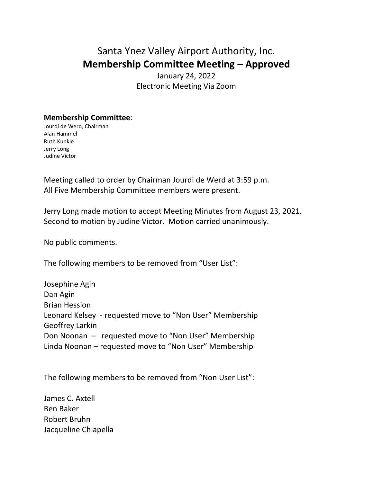## Santa Ynez Valley Airport Authority, Inc. **Membership Committee Meeting – Approved**

January 24, 2022 Electronic Meeting Via Zoom

## **Membership Committee**:

Jourdi de Werd, Chairman Alan Hammel Ruth Kunkle Jerry Long Judine Victor

Meeting called to order by Chairman Jourdi de Werd at 3:59 p.m. All Five Membership Committee members were present.

Jerry Long made motion to accept Meeting Minutes from August 23, 2021. Second to motion by Judine Victor. Motion carried unanimously.

No public comments.

The following members to be removed from "User List":

Josephine Agin Dan Agin Brian Hession Leonard Kelsey - requested move to "Non User" Membership Geoffrey Larkin Don Noonan – requested move to "Non User" Membership Linda Noonan – requested move to "Non User" Membership

The following members to be removed from "Non User List":

James C. Axtell Ben Baker Robert Bruhn Jacqueline Chiapella